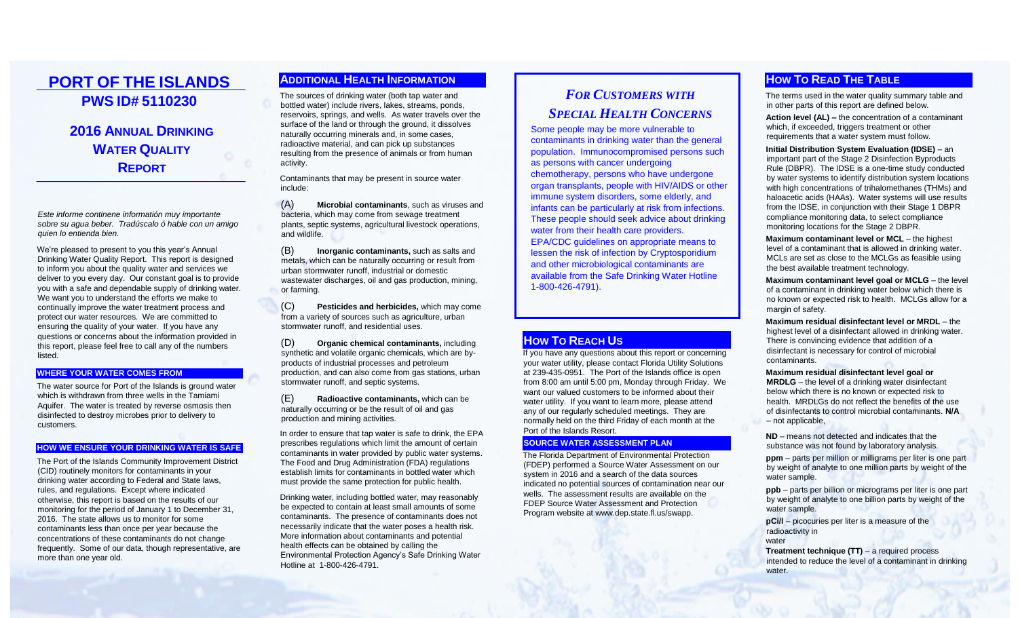# **PORT OF THE ISLANDS PWS ID# 5110230**

# **2016 ANNUAL DRINKING WATER QUALITY REPORT**

*Este informe continene informatión muy importante sobre su agua beber. Tradúscalo ó hable con un amigo quien lo entienda bien.*

We're pleased to present to you this year's Annual Drinking Water Quality Report. This report is designed to inform you about the quality water and services we deliver to you every day. Our constant goal is to provide you with a safe and dependable supply of drinking water. We want you to understand the efforts we make to continually improve the water treatment process and protect our water resources. We are committed to ensuring the quality of your water. If you have any questions or concerns about the information provided in this report, please feel free to call any of the numbers listed.

#### **WHERE YOUR WATER COMES FROM**

The water source for Port of the Islands is ground water which is withdrawn from three wells in the Tamiami Aquifer. The water is treated by reverse osmosis then disinfected to destroy microbes prior to delivery to customers.

#### **HOW WE ENSURE YOUR DRINKING WATER IS SAFE**

The Port of the Islands Community Improvement District (CID) routinely monitors for contaminants in your drinking water according to Federal and State laws, rules, and regulations. Except where indicated otherwise, this report is based on the results of our monitoring for the period of January 1 to December 31, 2016. The state allows us to monitor for some contaminants less than once per year because the concentrations of these contaminants do not change frequently. Some of our data, though representative, are more than one year old.

### **ADDITIONAL HEALTH INFORMATION**

The sources of drinking water (both tap water and bottled water) include rivers, lakes, streams, ponds, reservoirs, springs, and wells. As water travels over the surface of the land or through the ground, it dissolves naturally occurring minerals and, in some cases, radioactive material, and can pick up substances resulting from the presence of animals or from human activity.

Contaminants that may be present in source water include:

(A) **Microbial contaminants**, such as viruses and bacteria, which may come from sewage treatment plants, septic systems, agricultural livestock operations, and wildlife.

(B) **Inorganic contaminants,** such as salts and metals, which can be naturally occurring or result from urban stormwater runoff, industrial or domestic wastewater discharges, oil and gas production, mining, or farming.

(C) **Pesticides and herbicides,** which may come from a variety of sources such as agriculture, urban stormwater runoff, and residential uses.

(D) **Organic chemical contaminants,** including synthetic and volatile organic chemicals, which are byproducts of industrial processes and petroleum production, and can also come from gas stations, urban stormwater runoff, and septic systems.

(E) **Radioactive contaminants,** which can be naturally occurring or be the result of oil and gas production and mining activities.

In order to ensure that tap water is safe to drink, the EPA prescribes regulations which limit the amount of certain contaminants in water provided by public water systems. The Food and Drug Administration (FDA) regulations establish limits for contaminants in bottled water which must provide the same protection for public health.

Drinking water, including bottled water, may reasonably be expected to contain at least small amounts of some contaminants. The presence of contaminants does not necessarily indicate that the water poses a health risk. More information about contaminants and potential health effects can be obtained by calling the Environmental Protection Agency's Safe Drinking Water Hotline at 1-800-426-4791.

# *FOR CUSTOMERS WITH SPECIAL HEALTH CONCERNS*

Some people may be more vulnerable to contaminants in drinking water than the general population. Immunocompromised persons such as persons with cancer undergoing chemotherapy, persons who have undergone organ transplants, people with HIV/AIDS or other immune system disorders, some elderly, and infants can be particularly at risk from infections. These people should seek advice about drinking water from their health care providers. EPA/CDC guidelines on appropriate means to lessen the risk of infection by Cryptosporidium and other microbiological contaminants are available from the Safe Drinking Water Hotline 1-800-426-4791).

### **HOW TO REACH US**

If you have any questions about this report or concerning your water utility, please contact Florida Utility Solutions at 239-435-0951. The Port of the Islands office is open from 8:00 am until 5:00 pm, Monday through Friday. We want our valued customers to be informed about their water utility. If you want to learn more, please attend any of our regularly scheduled meetings. They are normally held on the third Friday of each month at the Port of the Islands Resort.

### **SOURCE WATER ASSESSMENT PLAN**

The Florida Department of Environmental Protection (FDEP) performed a Source Water Assessment on our system in 2016 and a search of the data sources indicated no potential sources of contamination near our wells. The assessment results are available on the FDEP Source Water Assessment and Protection Program website a[t www.dep.state.fl.us/swapp.](http://www.dep.state.fl.us/swapp)

### **HOW TO READ THE TABLE**

The terms used in the water quality summary table and in other parts of this report are defined below.

**Action level (AL) –** the concentration of a contaminant which, if exceeded, triggers treatment or other requirements that a water system must follow.

**Initial Distribution System Evaluation (IDSE)** – an important part of the Stage 2 Disinfection Byproducts Rule (DBPR). The IDSE is a one-time study conducted by water systems to identify distribution system locations with high concentrations of trihalomethanes (THMs) and haloacetic acids (HAAs). Water systems will use results from the IDSE, in conjunction with their Stage 1 DBPR compliance monitoring data, to select compliance monitoring locations for the Stage 2 DBPR.

**Maximum contaminant level or MCL** – the highest level of a contaminant that is allowed in drinking water. MCLs are set as close to the MCLGs as feasible using the best available treatment technology.

**Maximum contaminant level goal or MCLG** – the level of a contaminant in drinking water below which there is no known or expected risk to health. MCLGs allow for a margin of safety.

**Maximum residual disinfectant level or MRDL** – the highest level of a disinfectant allowed in drinking water. There is convincing evidence that addition of a disinfectant is necessary for control of microbial contaminants.

#### **Maximum residual disinfectant level goal or MRDLG** – the level of a drinking water disinfectant below which there is no known or expected risk to health. MRDLGs do not reflect the benefits of the use of disinfectants to control microbial contaminants. **N/A** – not applicable,

**ND** – means not detected and indicates that the substance was not found by laboratory analysis.

**ppm** – parts per million or milligrams per liter is one part by weight of analyte to one million parts by weight of the water sample.

**ppb** – parts per billion or micrograms per liter is one part by weight of analyte to one billion parts by weight of the water sample.

**pCi/l** – picocuries per liter is a measure of the radioactivity in

water

**Treatment technique (TT)** – a required process intended to reduce the level of a contaminant in drinking water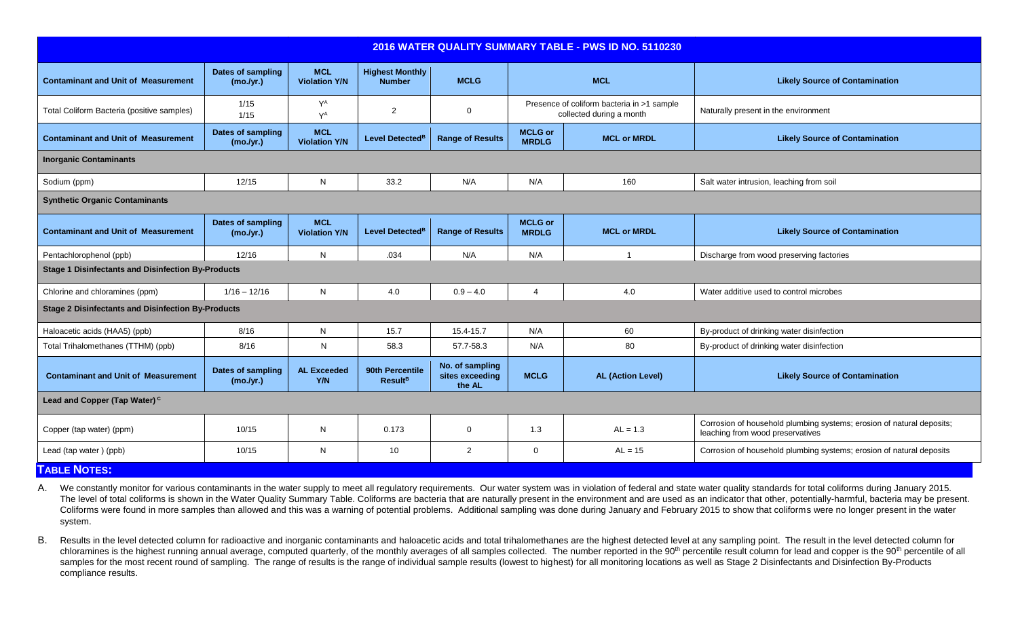| 2016 WATER QUALITY SUMMARY TABLE - PWS ID NO. 5110230     |                                       |                                    |                                               |                                              |                                |                                                                        |                                                                                                           |
|-----------------------------------------------------------|---------------------------------------|------------------------------------|-----------------------------------------------|----------------------------------------------|--------------------------------|------------------------------------------------------------------------|-----------------------------------------------------------------------------------------------------------|
| <b>Contaminant and Unit of Measurement</b>                | <b>Dates of sampling</b><br>(mo./yr.) | <b>MCL</b><br><b>Violation Y/N</b> | <b>Highest Monthly</b><br><b>Number</b>       | <b>MCLG</b>                                  |                                | <b>MCL</b>                                                             | <b>Likely Source of Contamination</b>                                                                     |
| Total Coliform Bacteria (positive samples)                | 1/15<br>1/15                          | $Y^A$<br>$Y^A$                     | $\overline{2}$                                | $\mathbf 0$                                  |                                | Presence of coliform bacteria in >1 sample<br>collected during a month | Naturally present in the environment                                                                      |
| <b>Contaminant and Unit of Measurement</b>                | Dates of sampling<br>(mo./yr.)        | <b>MCL</b><br><b>Violation Y/N</b> | Level Detected <sup>B</sup>                   | <b>Range of Results</b>                      | <b>MCLG or</b><br><b>MRDLG</b> | <b>MCL or MRDL</b>                                                     | <b>Likely Source of Contamination</b>                                                                     |
| <b>Inorganic Contaminants</b>                             |                                       |                                    |                                               |                                              |                                |                                                                        |                                                                                                           |
| Sodium (ppm)                                              | 12/15                                 | N                                  | 33.2                                          | N/A                                          | N/A                            | 160                                                                    | Salt water intrusion, leaching from soil                                                                  |
| <b>Synthetic Organic Contaminants</b>                     |                                       |                                    |                                               |                                              |                                |                                                                        |                                                                                                           |
| <b>Contaminant and Unit of Measurement</b>                | Dates of sampling<br>(mo./yr.)        | <b>MCL</b><br><b>Violation Y/N</b> | Level Detected <sup>B</sup>                   | <b>Range of Results</b>                      | <b>MCLG or</b><br><b>MRDLG</b> | <b>MCL or MRDL</b>                                                     | <b>Likely Source of Contamination</b>                                                                     |
| Pentachlorophenol (ppb)                                   | 12/16                                 | N                                  | .034                                          | N/A                                          | N/A                            | -1                                                                     | Discharge from wood preserving factories                                                                  |
| <b>Stage 1 Disinfectants and Disinfection By-Products</b> |                                       |                                    |                                               |                                              |                                |                                                                        |                                                                                                           |
| Chlorine and chloramines (ppm)                            | $1/16 - 12/16$                        | N                                  | 4.0                                           | $0.9 - 4.0$                                  | $\overline{4}$                 | 4.0                                                                    | Water additive used to control microbes                                                                   |
| <b>Stage 2 Disinfectants and Disinfection By-Products</b> |                                       |                                    |                                               |                                              |                                |                                                                        |                                                                                                           |
| Haloacetic acids (HAA5) (ppb)                             | 8/16                                  | N                                  | 15.7                                          | 15.4-15.7                                    | N/A                            | 60                                                                     | By-product of drinking water disinfection                                                                 |
| Total Trihalomethanes (TTHM) (ppb)                        | 8/16                                  | N                                  | 58.3                                          | 57.7-58.3                                    | N/A                            | 80                                                                     | By-product of drinking water disinfection                                                                 |
| <b>Contaminant and Unit of Measurement</b>                | <b>Dates of sampling</b><br>(mo./yr.) | <b>AL Exceeded</b><br>Y/N          | 90th Percentile<br><b>Result</b> <sup>B</sup> | No. of sampling<br>sites exceeding<br>the AL | <b>MCLG</b>                    | <b>AL (Action Level)</b>                                               | <b>Likely Source of Contamination</b>                                                                     |
| Lead and Copper (Tap Water) <sup>c</sup>                  |                                       |                                    |                                               |                                              |                                |                                                                        |                                                                                                           |
| Copper (tap water) (ppm)                                  | 10/15                                 | N                                  | 0.173                                         | 0                                            | 1.3                            | $AL = 1.3$                                                             | Corrosion of household plumbing systems; erosion of natural deposits;<br>leaching from wood preservatives |
| Lead (tap water) (ppb)                                    | 10/15                                 | N                                  | 10                                            | $\overline{2}$                               | $\mathbf 0$                    | $AL = 15$                                                              | Corrosion of household plumbing systems; erosion of natural deposits                                      |
| <b>TABLE NOTES:</b>                                       |                                       |                                    |                                               |                                              |                                |                                                                        |                                                                                                           |

A. We constantly monitor for various contaminants in the water supply to meet all regulatory requirements. Our water system was in violation of federal and state water quality standards for total coliforms during January 2 The level of total coliforms is shown in the Water Quality Summary Table. Coliforms are bacteria that are naturally present in the environment and are used as an indicator that other, potentially-harmful, bacteria may be p Coliforms were found in more samples than allowed and this was a warning of potential problems. Additional sampling was done during January and February 2015 to show that coliforms were no longer present in the water system.

B. Results in the level detected column for radioactive and inorganic contaminants and haloacetic acids and total trihalomethanes are the highest detected level at any sampling point. The result in the level detected colum chloramines is the highest running annual average, computed quarterly, of the monthly averages of all samples collected. The number reported in the 90<sup>th</sup> percentile result column for lead and copper is the 90<sup>th</sup> percenti samples for the most recent round of sampling. The range of results is the range of individual sample results (lowest to highest) for all monitoring locations as well as Stage 2 Disinfectants and Disinfection By-Products compliance results.